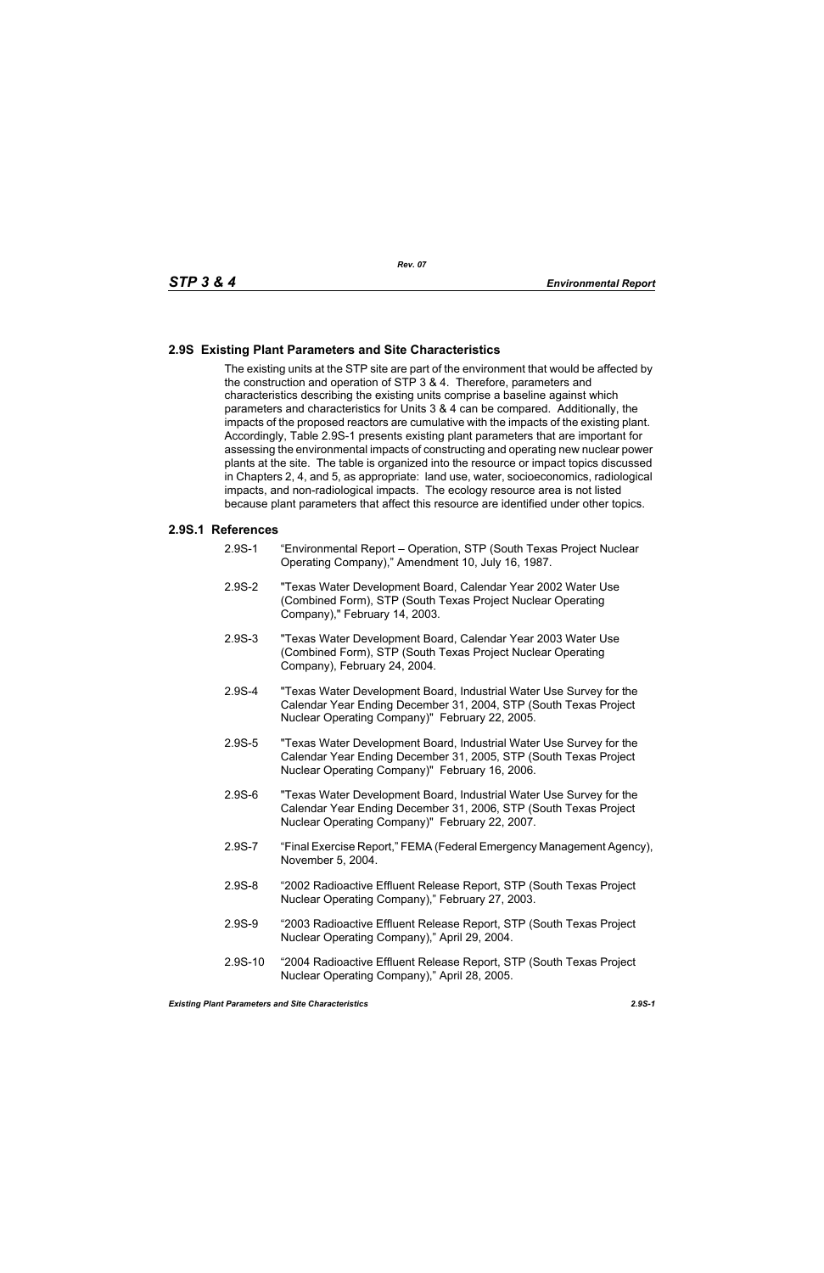## **2.9S Existing Plant Parameters and Site Characteristics**

The existing units at the STP site are part of the environment that would be affected by the construction and operation of STP 3 & 4. Therefore, parameters and characteristics describing the existing units comprise a baseline against which parameters and characteristics for Units 3 & 4 can be compared. Additionally, the impacts of the proposed reactors are cumulative with the impacts of the existing plant. Accordingly, Table 2.9S-1 presents existing plant parameters that are important for assessing the environmental impacts of constructing and operating new nuclear power plants at the site. The table is organized into the resource or impact topics discussed in Chapters 2, 4, and 5, as appropriate: land use, water, socioeconomics, radiological impacts, and non-radiological impacts. The ecology resource area is not listed because plant parameters that affect this resource are identified under other topics.

## **2.9S.1 References**

- 2.9S-1 "Environmental Report Operation, STP (South Texas Project Nuclear Operating Company)," Amendment 10, July 16, 1987.
- 2.9S-2 "Texas Water Development Board, Calendar Year 2002 Water Use (Combined Form), STP (South Texas Project Nuclear Operating Company)," February 14, 2003.
- 2.9S-3 "Texas Water Development Board, Calendar Year 2003 Water Use (Combined Form), STP (South Texas Project Nuclear Operating Company), February 24, 2004.
- 2.9S-4 "Texas Water Development Board, Industrial Water Use Survey for the Calendar Year Ending December 31, 2004, STP (South Texas Project Nuclear Operating Company)" February 22, 2005.
- 2.9S-5 "Texas Water Development Board, Industrial Water Use Survey for the Calendar Year Ending December 31, 2005, STP (South Texas Project Nuclear Operating Company)" February 16, 2006.
- 2.9S-6 "Texas Water Development Board, Industrial Water Use Survey for the Calendar Year Ending December 31, 2006, STP (South Texas Project Nuclear Operating Company)" February 22, 2007.
- 2.9S-7 "Final Exercise Report," FEMA (Federal Emergency Management Agency), November 5, 2004.
- 2.9S-8 "2002 Radioactive Effluent Release Report, STP (South Texas Project Nuclear Operating Company)," February 27, 2003.
- 2.9S-9 "2003 Radioactive Effluent Release Report, STP (South Texas Project Nuclear Operating Company)," April 29, 2004.
- 2.9S-10 "2004 Radioactive Effluent Release Report, STP (South Texas Project Nuclear Operating Company)," April 28, 2005.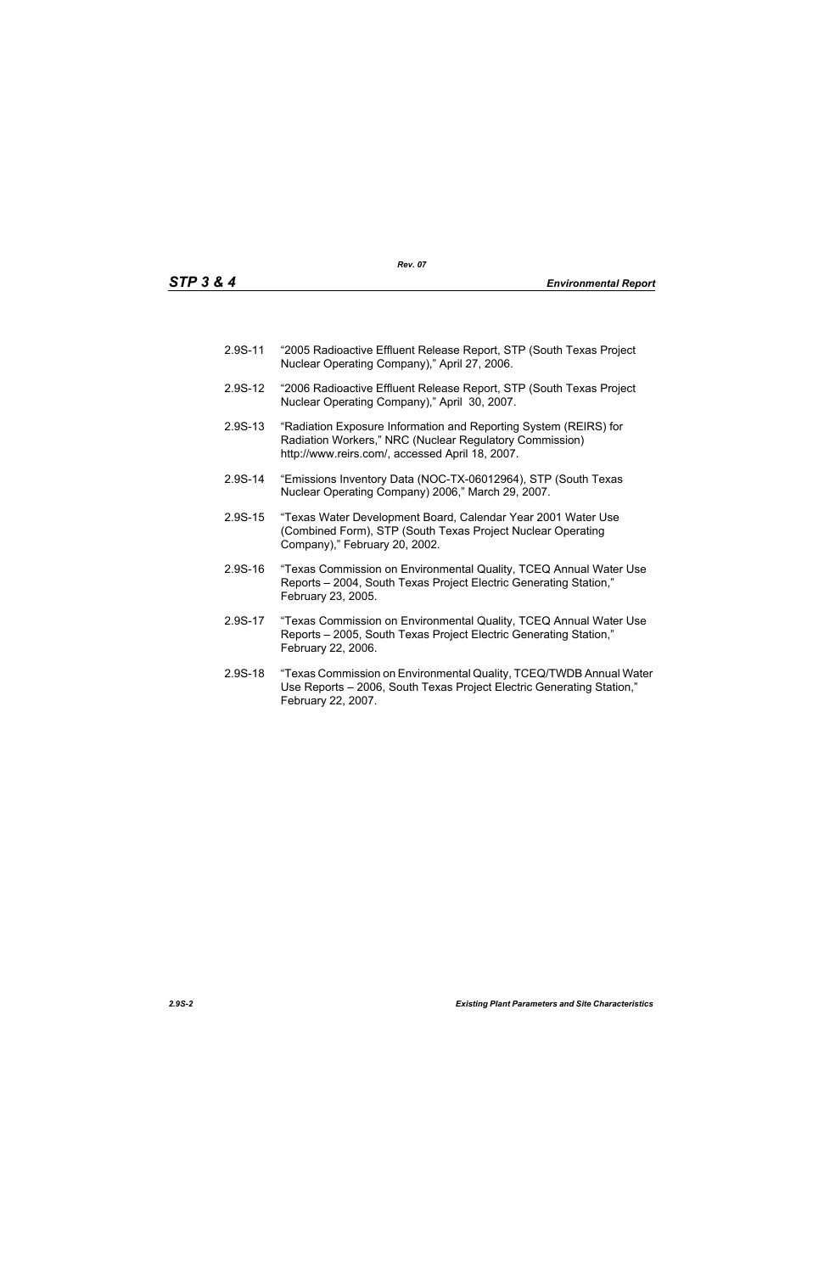- 2.9S-11 "2005 Radioactive Effluent Release Report, STP (South Texas Project Nuclear Operating Company)," April 27, 2006.
- 2.9S-12 "2006 Radioactive Effluent Release Report, STP (South Texas Project Nuclear Operating Company)," April 30, 2007.
- 2.9S-13 "Radiation Exposure Information and Reporting System (REIRS) for Radiation Workers," NRC (Nuclear Regulatory Commission) http://www.reirs.com/, accessed April 18, 2007.
- 2.9S-14 "Emissions Inventory Data (NOC-TX-06012964), STP (South Texas Nuclear Operating Company) 2006," March 29, 2007.
- 2.9S-15 "Texas Water Development Board, Calendar Year 2001 Water Use (Combined Form), STP (South Texas Project Nuclear Operating Company)," February 20, 2002.
- 2.9S-16 "Texas Commission on Environmental Quality, TCEQ Annual Water Use Reports – 2004, South Texas Project Electric Generating Station," February 23, 2005.
- 2.9S-17 "Texas Commission on Environmental Quality, TCEQ Annual Water Use Reports – 2005, South Texas Project Electric Generating Station," February 22, 2006.
- 2.9S-18 "Texas Commission on Environmental Quality, TCEQ/TWDB Annual Water Use Reports – 2006, South Texas Project Electric Generating Station," February 22, 2007.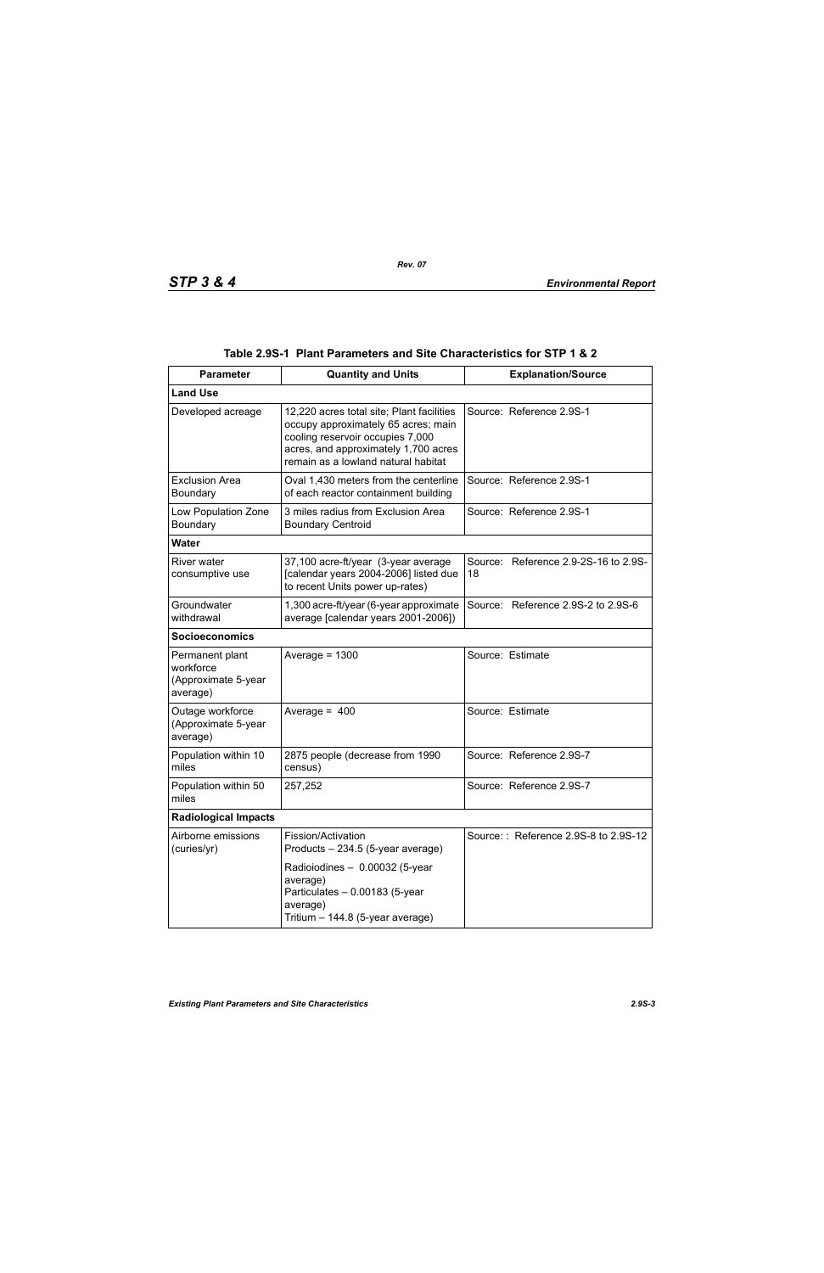| <b>Parameter</b>                                                | <b>Quantity and Units</b>                                                                                                                                                                           | <b>Explanation/Source</b>                  |  |  |  |
|-----------------------------------------------------------------|-----------------------------------------------------------------------------------------------------------------------------------------------------------------------------------------------------|--------------------------------------------|--|--|--|
| <b>Land Use</b>                                                 |                                                                                                                                                                                                     |                                            |  |  |  |
| Developed acreage                                               | 12,220 acres total site; Plant facilities<br>occupy approximately 65 acres; main<br>cooling reservoir occupies 7,000<br>acres, and approximately 1,700 acres<br>remain as a lowland natural habitat | Source: Reference 2.9S-1                   |  |  |  |
| <b>Exclusion Area</b><br>Boundary                               | Oval 1,430 meters from the centerline<br>of each reactor containment building                                                                                                                       | Source: Reference 2.9S-1                   |  |  |  |
| Low Population Zone<br>Boundary                                 | 3 miles radius from Exclusion Area<br><b>Boundary Centroid</b>                                                                                                                                      | Source: Reference 2.9S-1                   |  |  |  |
| <b>Water</b>                                                    |                                                                                                                                                                                                     |                                            |  |  |  |
| River water<br>consumptive use                                  | 37,100 acre-ft/year (3-year average<br>[calendar years 2004-2006] listed due<br>to recent Units power up-rates)                                                                                     | Source: Reference 2.9-2S-16 to 2.9S-<br>18 |  |  |  |
| Groundwater<br>withdrawal                                       | 1,300 acre-ft/year (6-year approximate<br>average [calendar years 2001-2006])                                                                                                                       | Source: Reference 2.9S-2 to 2.9S-6         |  |  |  |
| <b>Socioeconomics</b>                                           |                                                                                                                                                                                                     |                                            |  |  |  |
| Permanent plant<br>workforce<br>(Approximate 5-year<br>average) | Average = $1300$                                                                                                                                                                                    | Source: Estimate                           |  |  |  |
| Outage workforce<br>(Approximate 5-year<br>average)             | Average = $400$                                                                                                                                                                                     | Source: Estimate                           |  |  |  |
| Population within 10<br>miles                                   | 2875 people (decrease from 1990<br>census)                                                                                                                                                          | Source: Reference 2.9S-7                   |  |  |  |
| Population within 50<br>miles                                   | 257,252                                                                                                                                                                                             | Source: Reference 2.9S-7                   |  |  |  |
| <b>Radiological Impacts</b>                                     |                                                                                                                                                                                                     |                                            |  |  |  |
| Airborne emissions<br>(curies/yr)                               | Fission/Activation<br>Products - 234.5 (5-year average)                                                                                                                                             | Source:: Reference 2.9S-8 to 2.9S-12       |  |  |  |
|                                                                 | Radioiodines - 0.00032 (5-year<br>average)<br>Particulates - 0.00183 (5-year<br>average)<br>Tritium - 144.8 (5-year average)                                                                        |                                            |  |  |  |

|  | Table 2.9S-1   Plant Parameters and Site Characteristics for STP 1 & 2 |  |  |
|--|------------------------------------------------------------------------|--|--|
|--|------------------------------------------------------------------------|--|--|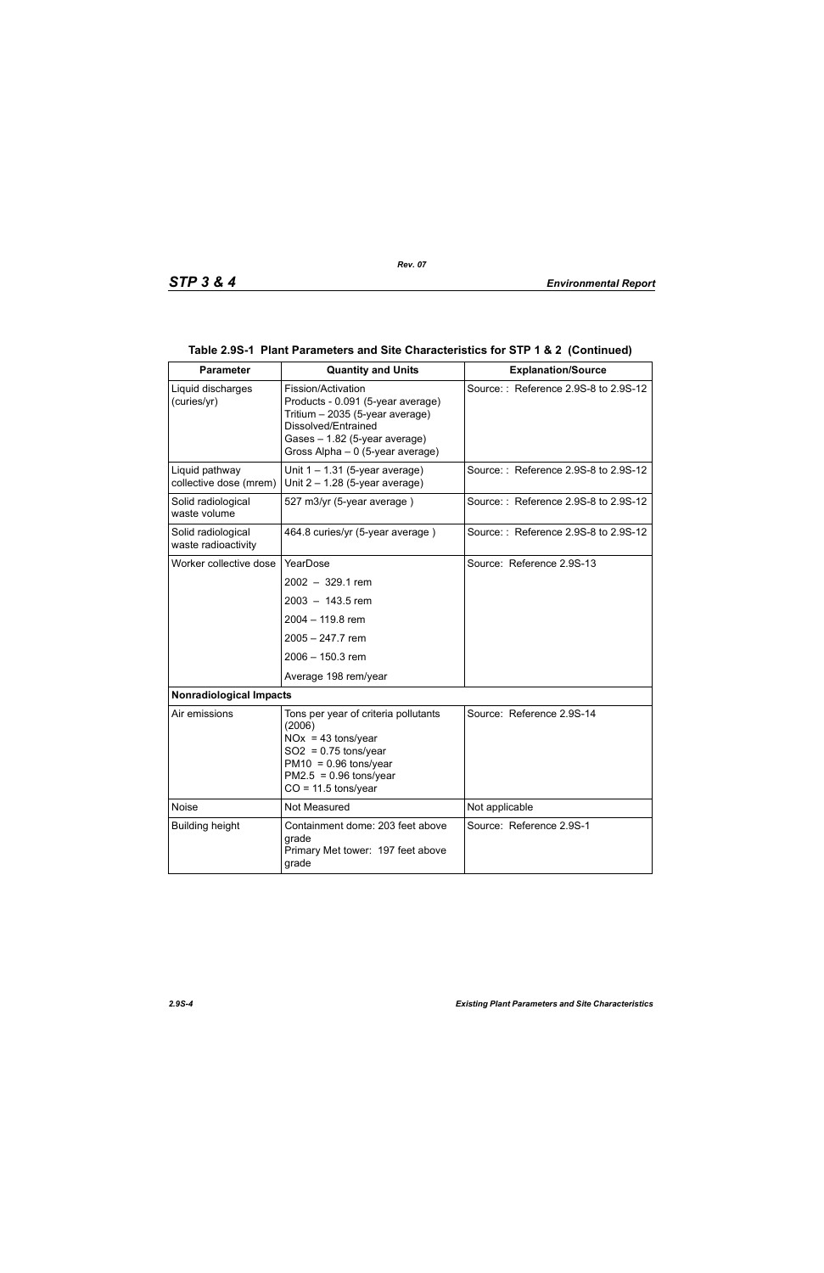| <b>Parameter</b>                          | <b>Quantity and Units</b>                                                                                                                                                              | <b>Explanation/Source</b>            |  |  |
|-------------------------------------------|----------------------------------------------------------------------------------------------------------------------------------------------------------------------------------------|--------------------------------------|--|--|
| Liquid discharges<br>(curies/yr)          | Fission/Activation<br>Products - 0.091 (5-year average)<br>Tritium - 2035 (5-year average)<br>Dissolved/Entrained<br>Gases - 1.82 (5-year average)<br>Gross Alpha - 0 (5-year average) | Source:: Reference 2.9S-8 to 2.9S-12 |  |  |
| Liquid pathway<br>collective dose (mrem)  | Unit $1 - 1.31$ (5-year average)<br>Unit $2 - 1.28$ (5-year average)                                                                                                                   | Source:: Reference 2.9S-8 to 2.9S-12 |  |  |
| Solid radiological<br>waste volume        | 527 m3/yr (5-year average)                                                                                                                                                             | Source:: Reference 2.9S-8 to 2.9S-12 |  |  |
| Solid radiological<br>waste radioactivity | 464.8 curies/yr (5-year average)                                                                                                                                                       | Source:: Reference 2.9S-8 to 2.9S-12 |  |  |
| Worker collective dose                    | YearDose                                                                                                                                                                               | Source: Reference 2.9S-13            |  |  |
|                                           | $2002 - 329.1$ rem                                                                                                                                                                     |                                      |  |  |
|                                           | $2003 - 143.5$ rem                                                                                                                                                                     |                                      |  |  |
|                                           | 2004 - 119.8 rem                                                                                                                                                                       |                                      |  |  |
|                                           | 2005 - 247.7 rem                                                                                                                                                                       |                                      |  |  |
|                                           | 2006 - 150.3 rem                                                                                                                                                                       |                                      |  |  |
|                                           | Average 198 rem/year                                                                                                                                                                   |                                      |  |  |
| <b>Nonradiological Impacts</b>            |                                                                                                                                                                                        |                                      |  |  |
| Air emissions                             | Tons per year of criteria pollutants<br>(2006)<br>$NOx = 43$ tons/year<br>$SO2 = 0.75$ tons/year<br>$PM10 = 0.96$ tons/year<br>$PM2.5 = 0.96$ tons/year<br>$CO = 11.5$ tons/year       | Source: Reference 2.9S-14            |  |  |
| <b>Noise</b>                              | Not Measured                                                                                                                                                                           | Not applicable                       |  |  |
| <b>Building height</b>                    | Containment dome: 203 feet above<br>grade<br>Primary Met tower: 197 feet above<br>grade                                                                                                | Source: Reference 2.9S-1             |  |  |

## **Table 2.9S-1 Plant Parameters and Site Characteristics for STP 1 & 2 (Continued)**